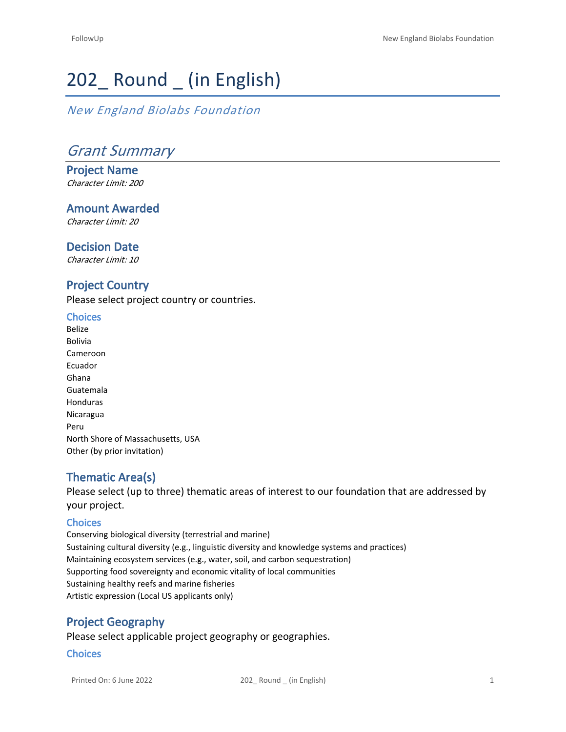# 202\_ Round \_ (in English)

*New England Biolabs Foundation*

# *Grant Summary*

**Project Name** *Character Limit: 200*

### **Amount Awarded**

*Character Limit: 20*

### **Decision Date**

*Character Limit: 10*

## **Project Country**

Please select project country or countries.

### **Choices** Belize Bolivia Cameroon Ecuador Ghana Guatemala Honduras Nicaragua Peru North Shore of Massachusetts, USA Other (by prior invitation)

# **Thematic Area(s)**

Please select (up to three) thematic areas of interest to our foundation that are addressed by your project.

### **Choices**

Conserving biological diversity (terrestrial and marine) Sustaining cultural diversity (e.g., linguistic diversity and knowledge systems and practices) Maintaining ecosystem services (e.g., water, soil, and carbon sequestration) Supporting food sovereignty and economic vitality of local communities Sustaining healthy reefs and marine fisheries Artistic expression (Local US applicants only)

### **Project Geography**

Please select applicable project geography or geographies.

### **Choices**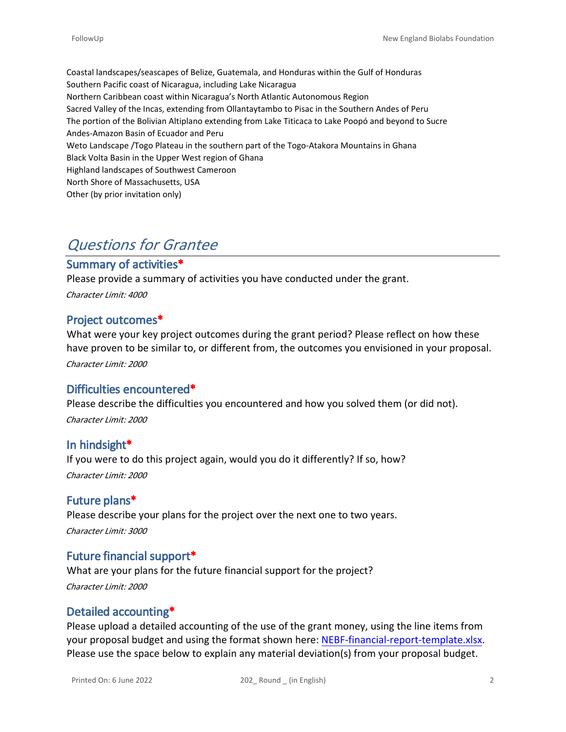Coastal landscapes/seascapes of Belize, Guatemala, and Honduras within the Gulf of Honduras Southern Pacific coast of Nicaragua, including Lake Nicaragua Northern Caribbean coast within Nicaragua's North Atlantic Autonomous Region Sacred Valley of the Incas, extending from Ollantaytambo to Pisac in the Southern Andes of Peru The portion of the Bolivian Altiplano extending from Lake Titicaca to Lake Poopó and beyond to Sucre Andes-Amazon Basin of Ecuador and Peru Weto Landscape /Togo Plateau in the southern part of the Togo-Atakora Mountains in Ghana Black Volta Basin in the Upper West region of Ghana Highland landscapes of Southwest Cameroon North Shore of Massachusetts, USA Other (by prior invitation only)

# *Questions for Grantee*

### **Summary of activities\***

Please provide a summary of activities you have conducted under the grant.

*Character Limit: 4000*

### **Project outcomes\***

What were your key project outcomes during the grant period? Please reflect on how these have proven to be similar to, or different from, the outcomes you envisioned in your proposal.

*Character Limit: 2000*

### **Difficulties encountered\***

Please describe the difficulties you encountered and how you solved them (or did not). *Character Limit: 2000*

### **In hindsight\***

If you were to do this project again, would you do it differently? If so, how? *Character Limit: 2000*

### **Future plans\***

Please describe your plans for the project over the next one to two years. *Character Limit: 3000*

### **Future financial support\***

What are your plans for the future financial support for the project? *Character Limit: 2000*

### **Detailed accounting\***

Please upload a detailed accounting of the use of the grant money, using the line items from your proposal budget and using the format shown here: [NEBF-financial-report-template.xlsx.](https://ecc751d1-586f-4c95-8054-8ed52ea63044.usrfiles.com/ugd/ecc751_f6584deacd994564a482c7748e9f0b03.xlsx) Please use the space below to explain any material deviation(s) from your proposal budget.